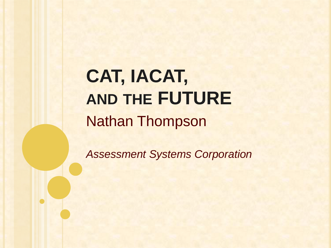Nathan Thompson **CAT, IACAT, AND THE FUTURE**

*Assessment Systems Corporation*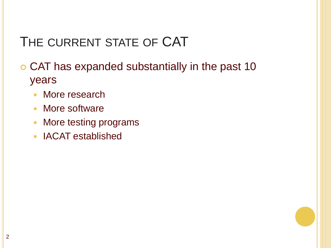# THE CURRENT STATE OF CAT

 CAT has expanded substantially in the past 10 years

- More research
- More software
- More testing programs
- IACAT established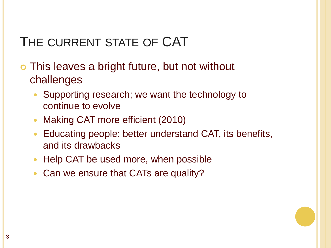## THE CURRENT STATE OF CAT

 This leaves a bright future, but not without challenges

- Supporting research; we want the technology to continue to evolve
- Making CAT more efficient (2010)
- Educating people: better understand CAT, its benefits, and its drawbacks
- Help CAT be used more, when possible
- Can we ensure that CATs are quality?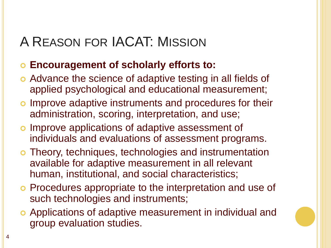## A REASON FOR IACAT: MISSION

#### **Encouragement of scholarly efforts to:**

- Advance the science of adaptive testing in all fields of applied psychological and educational measurement;
- o Improve adaptive instruments and procedures for their administration, scoring, interpretation, and use;
- o Improve applications of adaptive assessment of individuals and evaluations of assessment programs.
- Theory, techniques, technologies and instrumentation available for adaptive measurement in all relevant human, institutional, and social characteristics;
- o Procedures appropriate to the interpretation and use of such technologies and instruments;
- Applications of adaptive measurement in individual and group evaluation studies.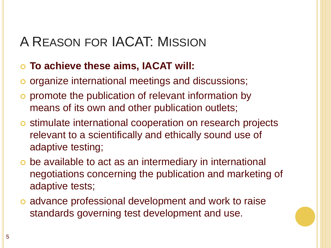## A REASON FOR IACAT: MISSION

#### **To achieve these aims, IACAT will:**

- o organize international meetings and discussions;
- o promote the publication of relevant information by means of its own and other publication outlets;
- o stimulate international cooperation on research projects relevant to a scientifically and ethically sound use of adaptive testing;
- be available to act as an intermediary in international negotiations concerning the publication and marketing of adaptive tests;
- o advance professional development and work to raise standards governing test development and use.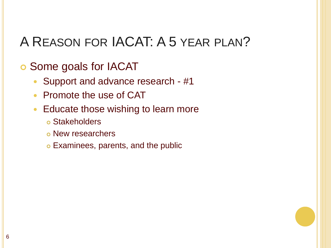## A REASON FOR IACAT: A 5 YEAR PLAN?

#### Some goals for IACAT

- Support and advance research #1
- Promote the use of CAT
- Educate those wishing to learn more
	- Stakeholders
	- New researchers
	- Examinees, parents, and the public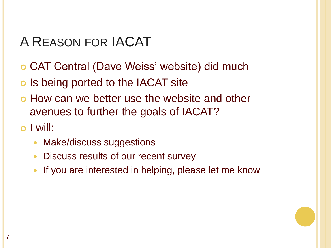## A REASON FOR IACAT

- CAT Central (Dave Weiss' website) did much
- o Is being ported to the IACAT site
- How can we better use the website and other avenues to further the goals of IACAT?

#### o I will:

- Make/discuss suggestions
- Discuss results of our recent survey
- If you are interested in helping, please let me know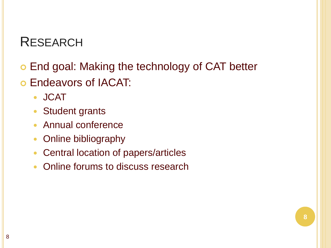#### RESEARCH

- End goal: Making the technology of CAT better
- Endeavors of IACAT:
	- JCAT
	- Student grants
	- Annual conference
	- Online bibliography
	- Central location of papers/articles
	- Online forums to discuss research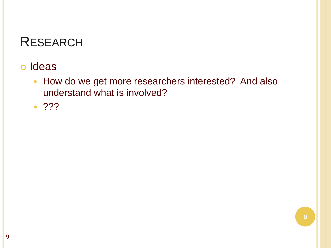### RESEARCH

#### o Ideas

- How do we get more researchers interested? And also understand what is involved?
- $\bullet$  ???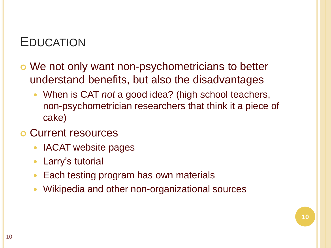### EDUCATION

- We not only want non-psychometricians to better understand benefits, but also the disadvantages
	- When is CAT *not* a good idea? (high school teachers, non-psychometrician researchers that think it a piece of cake)

**10**

- Current resources
	- IACAT website pages
	- Larry's tutorial
	- Each testing program has own materials
	- Wikipedia and other non-organizational sources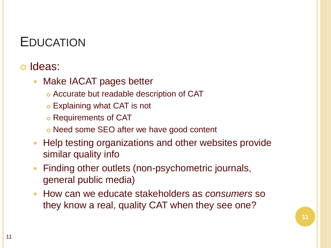### EDUCATION

#### Ideas:

- Make IACAT pages better
	- Accurate but readable description of CAT
	- Explaining what CAT is not
	- Requirements of CAT
	- Need some SEO after we have good content
- Help testing organizations and other websites provide similar quality info
- Finding other outlets (non-psychometric journals, general public media)
- How can we educate stakeholders as *consumers* so they know a real, quality CAT when they see one?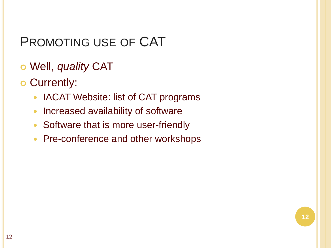### PROMOTING USE OF CAT

- Well, *quality* CAT
- o Currently:
	- IACAT Website: list of CAT programs
	- Increased availability of software
	- Software that is more user-friendly
	- Pre-conference and other workshops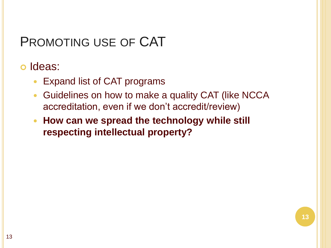## PROMOTING USE OF CAT

#### o Ideas:

- Expand list of CAT programs
- Guidelines on how to make a quality CAT (like NCCA accreditation, even if we don't accredit/review)
- **How can we spread the technology while still respecting intellectual property?**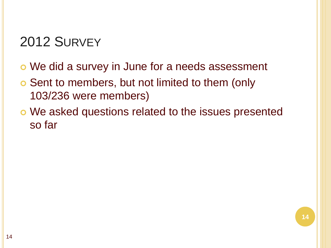- We did a survey in June for a needs assessment
- Sent to members, but not limited to them (only 103/236 were members)
- We asked questions related to the issues presented so far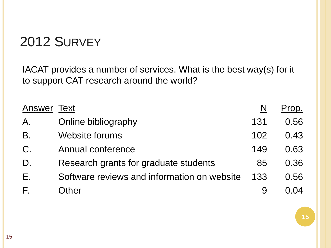IACAT provides a number of services. What is the best way(s) for it to support CAT research around the world?

| Answer | Text                                        |     | Prop. |
|--------|---------------------------------------------|-----|-------|
| А.     | Online bibliography                         | 131 | 0.56  |
| B.     | <b>Website forums</b>                       | 102 | 0.43  |
| C.     | Annual conference                           | 149 | 0.63  |
| D.     | Research grants for graduate students       | 85  | 0.36  |
| Ε.     | Software reviews and information on website | 133 | 0.56  |
| F.     | <b>Other</b>                                |     | በ በ4  |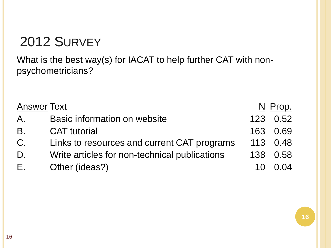What is the best way(s) for IACAT to help further CAT with nonpsychometricians?

| <b>Answer Text</b> |                                               |     | N Prop.  |
|--------------------|-----------------------------------------------|-----|----------|
| A.                 | Basic information on website                  |     | 123 0.52 |
| B.                 | <b>CAT</b> tutorial                           | 163 | 0.69     |
| $C_{\cdot}$        | Links to resources and current CAT programs   |     | 113 0.48 |
| D.                 | Write articles for non-technical publications | 138 | 0.58     |
| Е.                 | Other (ideas?)                                |     | 0 Q4     |

**16**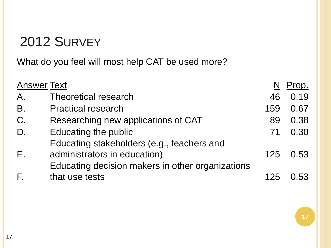What do you feel will most help CAT be used more?

| <b>Answer Text</b> |                                                  |     | Prop. |
|--------------------|--------------------------------------------------|-----|-------|
| A.                 | <b>Theoretical research</b>                      | 46  | 0.19  |
| <b>B.</b>          | <b>Practical research</b>                        | 159 | 0.67  |
| C.                 | Researching new applications of CAT              | 89  | 0.38  |
| D.                 | Educating the public                             | 71  | 0.30  |
|                    | Educating stakeholders (e.g., teachers and       |     |       |
| E.                 | administrators in education)                     | 125 | 0.53  |
|                    | Educating decision makers in other organizations |     |       |
| F.                 | that use tests                                   | 125 | በ 53  |

**17**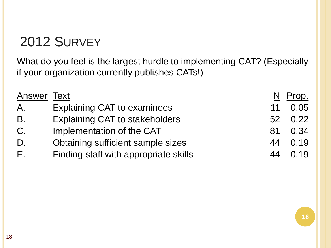What do you feel is the largest hurdle to implementing CAT? (Especially if your organization currently publishes CATs!)

| <b>Answer Text</b> |                                       | N               | Prop. |
|--------------------|---------------------------------------|-----------------|-------|
| A.                 | <b>Explaining CAT to examinees</b>    | 11              | 0.05  |
| <b>B.</b>          | <b>Explaining CAT to stakeholders</b> | 52 <sub>2</sub> | 0.22  |
| $C_{\cdot}$        | Implementation of the CAT             | 81              | 0.34  |
| D.                 | Obtaining sufficient sample sizes     | 44              | 0.19  |
| Е.                 | Finding staff with appropriate skills | 44              | 0.19  |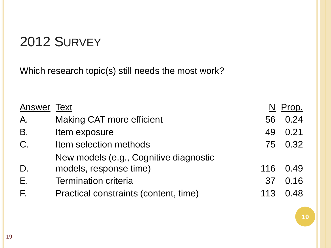Which research topic(s) still needs the most work?

| <b>Answer Text</b> |                                        |     | Prop.   |
|--------------------|----------------------------------------|-----|---------|
| A.                 | <b>Making CAT more efficient</b>       | 56  | 0.24    |
| <b>B.</b>          | Item exposure                          | 49  | 0.21    |
| $C$ .              | Item selection methods                 |     | 75 0.32 |
|                    | New models (e.g., Cognitive diagnostic |     |         |
| D.                 | models, response time)                 | 116 | 0.49    |
| Ε.                 | <b>Termination criteria</b>            | 37  | 0.16    |
| F.                 | Practical constraints (content, time)  | 113 | 0.48    |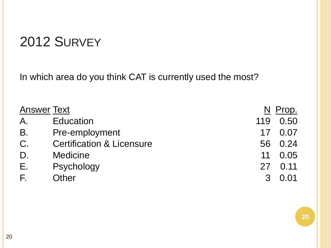In which area do you think CAT is currently used the most?

| <b>Answer Text</b> |                                      |               | Prop.   |
|--------------------|--------------------------------------|---------------|---------|
| A.                 | <b>Education</b>                     | 119           | 0.50    |
| <b>B.</b>          | Pre-employment                       |               | 17 0.07 |
| $C$ .              | <b>Certification &amp; Licensure</b> |               | 56 0.24 |
| D.                 | <b>Medicine</b>                      | 11            | 0.05    |
| Ε.                 | Psychology                           |               | 27 0.11 |
| E.                 | Other                                | $\mathcal{B}$ | 0.01    |

**20**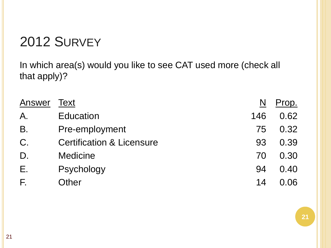In which area(s) would you like to see CAT used more (check all that apply)?

| Answer | Text                                 | N   | Prop. |
|--------|--------------------------------------|-----|-------|
| Α.     | <b>Education</b>                     | 146 | 0.62  |
| Β.     | Pre-employment                       | 75  | 0.32  |
| C.     | <b>Certification &amp; Licensure</b> | 93  | 0.39  |
| D.     | <b>Medicine</b>                      | 70  | 0.30  |
| Ε.     | Psychology                           | 94  | 0.40  |
| F.     | Other                                | 14  | N N N |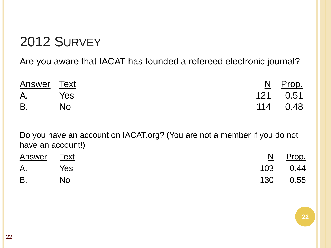Are you aware that IACAT has founded a refereed electronic journal?

| Answer Text |           | <u>N</u> Prop. |
|-------------|-----------|----------------|
| A. Yes      |           | 121   0.51     |
| $B_{\cdot}$ | <b>No</b> | 114   0.48     |

Do you have an account on IACAT.org? (You are not a member if you do not have an account!)

| <b>Answer</b> Text |     | <u>N</u> Prop. |
|--------------------|-----|----------------|
| A. Yes             |     | 103 0.44       |
| <b>B.</b>          | No. | 130 0.55       |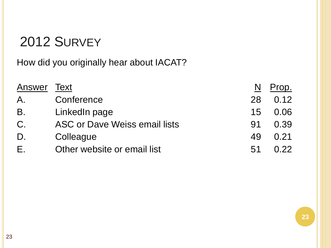How did you originally hear about IACAT?

| Answer | Text                          | N   | Prop. |
|--------|-------------------------------|-----|-------|
| A.     | Conference                    | 28  | 0.12  |
| B.     | LinkedIn page                 | 15  | 0.06  |
| $C$ .  | ASC or Dave Weiss email lists | .91 | 0.39  |
| D.     | Colleague                     | 49  | 0.21  |
| Е.     | Other website or email list   | 51  | በ 22  |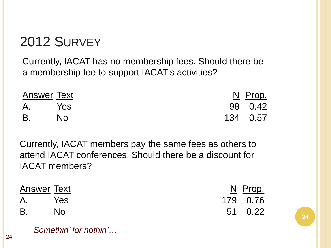Currently, IACAT has no membership fees. Should there be a membership fee to support IACAT's activities?

| <b>Answer Text</b> |     | <u>N</u> Prop. |
|--------------------|-----|----------------|
| A. Yes             |     | 98 0.42        |
| <b>B</b> .         | No. | 134 0.57       |

Currently, IACAT members pay the same fees as others to attend IACAT conferences. Should there be a discount for IACAT members?

| <b>Answer Text</b> |      | <u>N</u> Prop. |
|--------------------|------|----------------|
| A. Yes             |      | 179 0.76       |
| B.                 | . No | 51 0.22        |

**24**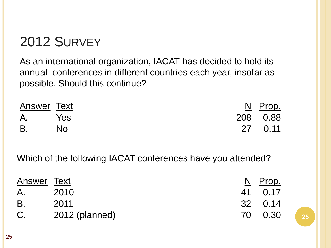As an international organization, IACAT has decided to hold its annual conferences in different countries each year, insofar as possible. Should this continue?

| Answer Text |     | <u>N</u> Prop. |
|-------------|-----|----------------|
| A. Yes      |     | 208 0.88       |
| B.          | No. | 27  0.11       |

Which of the following IACAT conferences have you attended?

| Answer Text |                | N Prop. |
|-------------|----------------|---------|
| A.          | 2010           | 41 0.17 |
| B           | 2011           | 32 0.14 |
| C.          | 2012 (planned) | 70 0.30 |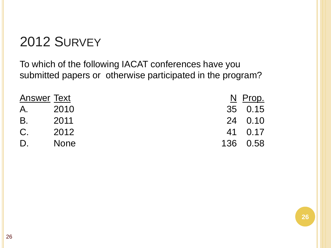To which of the following IACAT conferences have you submitted papers or otherwise participated in the program?

| <b>Answer Text</b> |             | N Prop.  |
|--------------------|-------------|----------|
| A.                 | 2010        | 35 0.15  |
| B.                 | 2011        | 24 0.10  |
| $C_{\cdot}$        | 2012        | 41 0.17  |
| D.                 | <b>None</b> | 136 0.58 |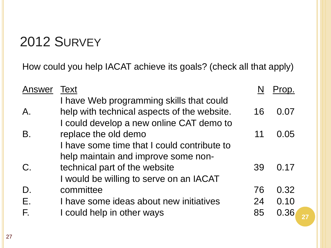How could you help IACAT achieve its goals? (check all that apply)

| Answer | <b>Text</b>                                                                                                                         |    | Prop. |
|--------|-------------------------------------------------------------------------------------------------------------------------------------|----|-------|
| Α.     | I have Web programming skills that could<br>help with technical aspects of the website.<br>I could develop a new online CAT demo to | 16 | 0.07  |
| B.     | replace the old demo                                                                                                                | 11 | 0.05  |
|        | I have some time that I could contribute to<br>help maintain and improve some non-                                                  |    |       |
| $C$ .  | technical part of the website                                                                                                       | 39 | 0.17  |
| D.     | I would be willing to serve on an IACAT<br>committee                                                                                | 76 | 0.32  |
| Ε.     | I have some ideas about new initiatives                                                                                             | 24 | 0.10  |
| F.     | I could help in other ways                                                                                                          | 85 | 0.36  |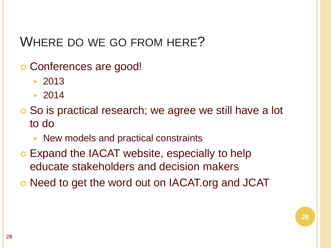### WHERE DO WE GO FROM HERE?

- Conferences are good!
	- 2013
	- 2014
- So is practical research; we agree we still have a lot to do
	- New models and practical constraints
- Expand the IACAT website, especially to help educate stakeholders and decision makers
- Need to get the word out on IACAT.org and JCAT